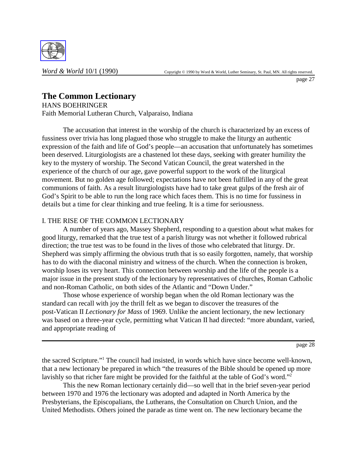

page 27

# **The Common Lectionary**

HANS BOEHRINGER Faith Memorial Lutheran Church, Valparaiso, Indiana

The accusation that interest in the worship of the church is characterized by an excess of fussiness over trivia has long plagued those who struggle to make the liturgy an authentic expression of the faith and life of God's people—an accusation that unfortunately has sometimes been deserved. Liturgiologists are a chastened lot these days, seeking with greater humility the key to the mystery of worship. The Second Vatican Council, the great watershed in the experience of the church of our age, gave powerful support to the work of the liturgical movement. But no golden age followed; expectations have not been fulfilled in any of the great communions of faith. As a result liturgiologists have had to take great gulps of the fresh air of God's Spirit to be able to run the long race which faces them. This is no time for fussiness in details but a time for clear thinking and true feeling. It is a time for seriousness.

## I. THE RISE OF THE COMMON LECTIONARY

A number of years ago, Massey Shepherd, responding to a question about what makes for good liturgy, remarked that the true test of a parish liturgy was not whether it followed rubrical direction; the true test was to be found in the lives of those who celebrated that liturgy. Dr. Shepherd was simply affirming the obvious truth that is so easily forgotten, namely, that worship has to do with the diaconal ministry and witness of the church. When the connection is broken, worship loses its very heart. This connection between worship and the life of the people is a major issue in the present study of the lectionary by representatives of churches, Roman Catholic and non-Roman Catholic, on both sides of the Atlantic and "Down Under."

Those whose experience of worship began when the old Roman lectionary was the standard can recall with joy the thrill felt as we began to discover the treasures of the post-Vatican II *Lectionary for Mass* of 1969. Unlike the ancient lectionary, the new lectionary was based on a three-year cycle, permitting what Vatican II had directed: "more abundant, varied, and appropriate reading of

page 28

the sacred Scripture."1 The council had insisted, in words which have since become well-known, that a new lectionary be prepared in which "the treasures of the Bible should be opened up more lavishly so that richer fare might be provided for the faithful at the table of God's word."<sup>2</sup>

This the new Roman lectionary certainly did—so well that in the brief seven-year period between 1970 and 1976 the lectionary was adopted and adapted in North America by the Presbyterians, the Episcopalians, the Lutherans, the Consultation on Church Union, and the United Methodists. Others joined the parade as time went on. The new lectionary became the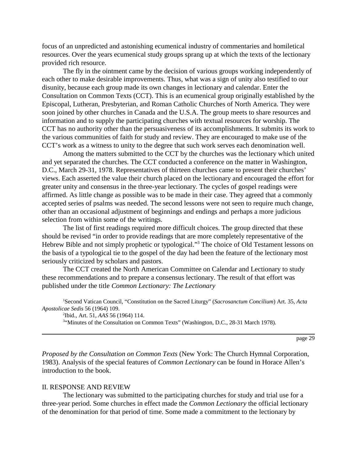focus of an unpredicted and astonishing ecumenical industry of commentaries and homiletical resources. Over the years ecumenical study groups sprang up at which the texts of the lectionary provided rich resource.

The fly in the ointment came by the decision of various groups working independently of each other to make desirable improvements. Thus, what was a sign of unity also testified to our disunity, because each group made its own changes in lectionary and calendar. Enter the Consultation on Common Texts (CCT). This is an ecumenical group originally established by the Episcopal, Lutheran, Presbyterian, and Roman Catholic Churches of North America. They were soon joined by other churches in Canada and the U.S.A. The group meets to share resources and information and to supply the participating churches with textual resources for worship. The CCT has no authority other than the persuasiveness of its accomplishments. It submits its work to the various communities of faith for study and review. They are encouraged to make use of the CCT's work as a witness to unity to the degree that such work serves each denomination well.

Among the matters submitted to the CCT by the churches was the lectionary which united and yet separated the churches. The CCT conducted a conference on the matter in Washington, D.C., March 29-31, 1978. Representatives of thirteen churches came to present their churches' views. Each asserted the value their church placed on the lectionary and encouraged the effort for greater unity and consensus in the three-year lectionary. The cycles of gospel readings were affirmed. As little change as possible was to be made in their case. They agreed that a commonly accepted series of psalms was needed. The second lessons were not seen to require much change, other than an occasional adjustment of beginnings and endings and perhaps a more judicious selection from within some of the writings.

The list of first readings required more difficult choices. The group directed that these should be revised "in order to provide readings that are more completely representative of the Hebrew Bible and not simply prophetic or typological."3 The choice of Old Testament lessons on the basis of a typological tie to the gospel of the day had been the feature of the lectionary most seriously criticized by scholars and pastors.

The CCT created the North American Committee on Calendar and Lectionary to study these recommendations and to prepare a consensus lectionary. The result of that effort was published under the title *Common Lectionary: The Lectionary*

1 Second Vatican Council, "Constitution on the Sacred Liturgy" (*Sacrosanctum Concilium*) Art. 35, *Acta Apostolicae Sedis* 56 (1964) 109.

2 Ibid., Art. 51, *AAS* 56 (1964) 114.

<sup>3</sup>"Minutes of the Consultation on Common Texts" (Washington, D.C., 28-31 March 1978).

page 29

*Proposed by the Consultation on Common Texts* (New York: The Church Hymnal Corporation, 1983). Analysis of the special features of *Common Lectionary* can be found in Horace Allen's introduction to the book.

#### II. RESPONSE AND REVIEW

The lectionary was submitted to the participating churches for study and trial use for a three-year period. Some churches in effect made the *Common Lectionary* the official lectionary of the denomination for that period of time. Some made a commitment to the lectionary by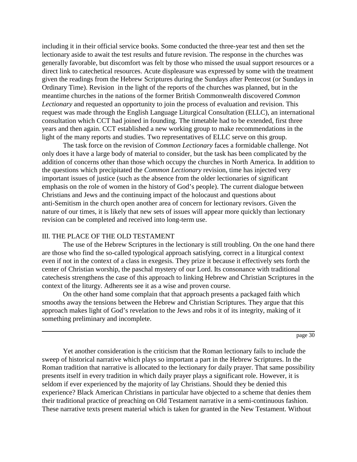including it in their official service books. Some conducted the three-year test and then set the lectionary aside to await the test results and future revision. The response in the churches was generally favorable, but discomfort was felt by those who missed the usual support resources or a direct link to catechetical resources. Acute displeasure was expressed by some with the treatment given the readings from the Hebrew Scriptures during the Sundays after Pentecost (or Sundays in Ordinary Time). Revision in the light of the reports of the churches was planned, but in the meantime churches in the nations of the former British Commonwealth discovered *Common Lectionary* and requested an opportunity to join the process of evaluation and revision. This request was made through the English Language Liturgical Consultation (ELLC), an international consultation which CCT had joined in founding. The timetable had to be extended, first three years and then again. CCT established a new working group to make recommendations in the light of the many reports and studies. Two representatives of ELLC serve on this group.

The task force on the revision of *Common Lectionary* faces a formidable challenge. Not only does it have a large body of material to consider, but the task has been complicated by the addition of concerns other than those which occupy the churches in North America. In addition to the questions which precipitated the *Common Lectionary* revision, time has injected very important issues of justice (such as the absence from the older lectionaries of significant emphasis on the role of women in the history of God's people). The current dialogue between Christians and Jews and the continuing impact of the holocaust and questions about anti-Semitism in the church open another area of concern for lectionary revisors. Given the nature of our times, it is likely that new sets of issues will appear more quickly than lectionary revision can be completed and received into long-term use.

#### III. THE PLACE OF THE OLD TESTAMENT

The use of the Hebrew Scriptures in the lectionary is still troubling. On the one hand there are those who find the so-called typological approach satisfying, correct in a liturgical context even if not in the context of a class in exegesis. They prize it because it effectively sets forth the center of Christian worship, the paschal mystery of our Lord. Its consonance with traditional catechesis strengthens the case of this approach to linking Hebrew and Christian Scriptures in the context of the liturgy. Adherents see it as a wise and proven course.

On the other hand some complain that that approach presents a packaged faith which smooths away the tensions between the Hebrew and Christian Scriptures. They argue that this approach makes light of God's revelation to the Jews and robs it of its integrity, making of it something preliminary and incomplete.

Yet another consideration is the criticism that the Roman lectionary fails to include the sweep of historical narrative which plays so important a part in the Hebrew Scriptures. In the Roman tradition that narrative is allocated to the lectionary for daily prayer. That same possibility presents itself in every tradition in which daily prayer plays a significant role. However, it is seldom if ever experienced by the majority of lay Christians. Should they be denied this experience? Black American Christians in particular have objected to a scheme that denies them their traditional practice of preaching on Old Testament narrative in a semi-continuous fashion. These narrative texts present material which is taken for granted in the New Testament. Without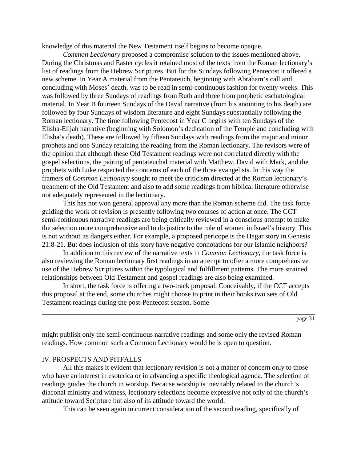knowledge of this material the New Testament itself begins to become opaque.

*Common Lectionary* proposed a compromise solution to the issues mentioned above. During the Christmas and Easter cycles it retained most of the texts from the Roman lectionary's list of readings from the Hebrew Scriptures. But for the Sundays following Pentecost it offered a new scheme. In Year A material from the Pentateuch, beginning with Abraham's call and concluding with Moses' death, was to be read in semi-continuous fashion for twenty weeks. This was followed by three Sundays of readings from Ruth and three from prophetic eschatological material. In Year B fourteen Sundays of the David narrative (from his anointing to his death) are followed by four Sundays of wisdom literature and eight Sundays substantially following the Roman lectionary. The time following Pentecost in Year C begins with ten Sundays of the Elisha-Elijah narrative (beginning with Solomon's dedication of the Temple and concluding with Elisha's death). These are followed by fifteen Sundays with readings from the major and minor prophets and one Sunday retaining the reading from the Roman lectionary. The revisors were of the opinion that although these Old Testament readings were not correlated directly with the gospel selections, the pairing of pentateuchal material with Matthew, David with Mark, and the prophets with Luke respected the concerns of each of the three evangelists. In this way the framers of *Common Lectionary* sought to meet the criticism directed at the Roman lectionary's treatment of the Old Testament and also to add some readings from biblical literature otherwise not adequately represented in the lectionary.

This has not won general approval any more than the Roman scheme did. The task force guiding the work of revision is presently following two courses of action at once. The CCT semi-continuous narrative readings are being critically reviewed in a conscious attempt to make the selection more comprehensive and to do justice to the role of women in Israel's history. This is not without its dangers either. For example, a proposed pericope is the Hagar story in Genesis 21:8-21. But does inclusion of this story have negative connotations for our Islamic neighbors?

In addition to this review of the narrative texts in *Common Lectionary*, the task force is also reviewing the Roman lectionary first readings in an attempt to offer a more comprehensive use of the Hebrew Scriptures within the typological and fulfillment patterns. The more strained relationships between Old Testament and gospel readings are also being examined.

In short, the task force is offering a two-track proposal. Conceivably, if the CCT accepts this proposal at the end, some churches might choose to print in their books two sets of Old Testament readings during the post-Pentecost season. Some

page 31

might publish only the semi-continuous narrative readings and some only the revised Roman readings. How common such a Common Lectionary would be is open to question.

### IV. PROSPECTS AND PITFALLS

All this makes it evident that lectionary revision is not a matter of concern only to those who have an interest in esoterica or in advancing a specific theological agenda. The selection of readings guides the church in worship. Because worship is inevitably related to the church's diaconal ministry and witness, lectionary selections become expressive not only of the church's attitude toward Scripture but also of its attitude toward the world.

This can be seen again in current consideration of the second reading, specifically of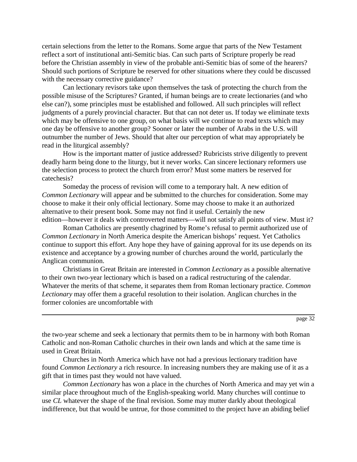certain selections from the letter to the Romans. Some argue that parts of the New Testament reflect a sort of institutional anti-Semitic bias. Can such parts of Scripture properly be read before the Christian assembly in view of the probable anti-Semitic bias of some of the hearers? Should such portions of Scripture be reserved for other situations where they could be discussed with the necessary corrective guidance?

Can lectionary revisors take upon themselves the task of protecting the church from the possible misuse of the Scriptures? Granted, if human beings are to create lectionaries (and who else can?), some principles must be established and followed. All such principles will reflect judgments of a purely provincial character. But that can not deter us. If today we eliminate texts which may be offensive to one group, on what basis will we continue to read texts which may one day be offensive to another group? Sooner or later the number of Arabs in the U.S. will outnumber the number of Jews. Should that alter our perception of what may appropriately be read in the liturgical assembly?

How is the important matter of justice addressed? Rubricists strive diligently to prevent deadly harm being done to the liturgy, but it never works. Can sincere lectionary reformers use the selection process to protect the church from error? Must some matters be reserved for catechesis?

Someday the process of revision will come to a temporary halt. A new edition of *Common Lectionary* will appear and be submitted to the churches for consideration. Some may choose to make it their only official lectionary. Some may choose to make it an authorized alternative to their present book. Some may not find it useful. Certainly the new edition—however it deals with controverted matters—will not satisfy all points of view. Must it?

Roman Catholics are presently chagrined by Rome's refusal to permit authorized use of *Common Lectionary* in North America despite the American bishops' request. Yet Catholics continue to support this effort. Any hope they have of gaining approval for its use depends on its existence and acceptance by a growing number of churches around the world, particularly the Anglican communion.

Christians in Great Britain are interested in *Common Lectionary* as a possible alternative to their own two-year lectionary which is based on a radical restructuring of the calendar. Whatever the merits of that scheme, it separates them from Roman lectionary practice. *Common Lectionary* may offer them a graceful resolution to their isolation. Anglican churches in the former colonies are uncomfortable with

page 32

the two-year scheme and seek a lectionary that permits them to be in harmony with both Roman Catholic and non-Roman Catholic churches in their own lands and which at the same time is used in Great Britain.

Churches in North America which have not had a previous lectionary tradition have found *Common Lectionary* a rich resource. In increasing numbers they are making use of it as a gift that in times past they would not have valued.

*Common Lectionary* has won a place in the churches of North America and may yet win a similar place throughout much of the English-speaking world. Many churches will continue to use *CL* whatever the shape of the final revision. Some may mutter darkly about theological indifference, but that would be untrue, for those committed to the project have an abiding belief